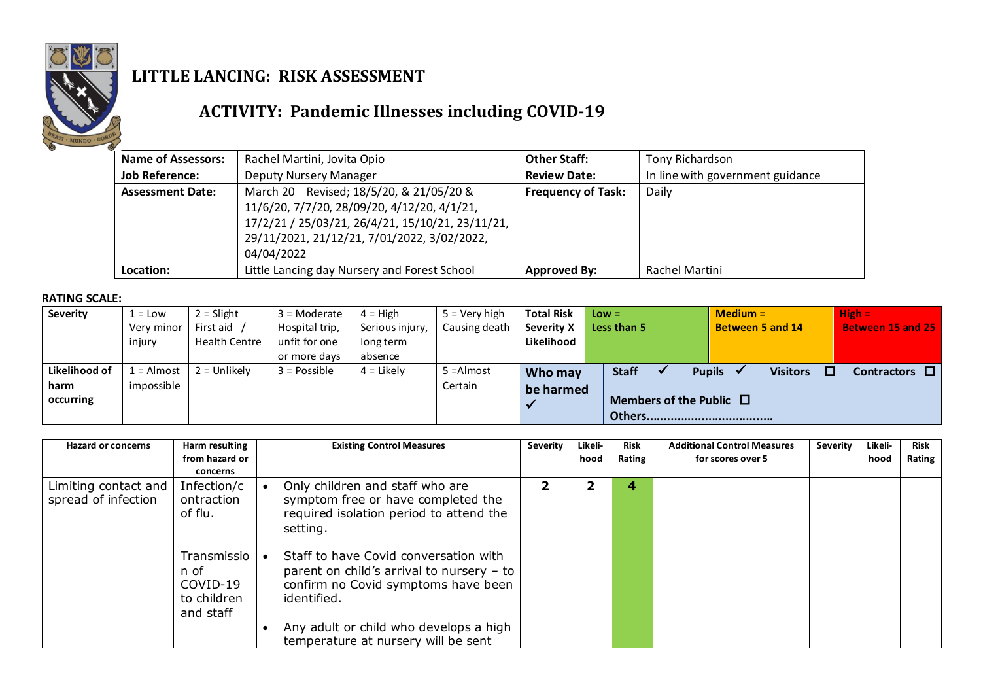

## **LITTLE LANCING: RISK ASSESSMENT**

## **ACTIVITY: Pandemic Illnesses including COVID-19**

| <b>Name of Assessors:</b> | Rachel Martini, Jovita Opio                                                                                                                                                                             | <b>Other Staff:</b>       | Tony Richardson                  |
|---------------------------|---------------------------------------------------------------------------------------------------------------------------------------------------------------------------------------------------------|---------------------------|----------------------------------|
| <b>Job Reference:</b>     | <b>Deputy Nursery Manager</b>                                                                                                                                                                           | <b>Review Date:</b>       | In line with government guidance |
| <b>Assessment Date:</b>   | March 20 Revised; 18/5/20, & 21/05/20 &<br>11/6/20, 7/7/20, 28/09/20, 4/12/20, 4/1/21,<br>17/2/21 / 25/03/21, 26/4/21, 15/10/21, 23/11/21,<br>29/11/2021, 21/12/21, 7/01/2022, 3/02/2022,<br>04/04/2022 | <b>Frequency of Task:</b> | Daily                            |
| Location:                 | Little Lancing day Nursery and Forest School                                                                                                                                                            | <b>Approved By:</b>       | Rachel Martini                   |

## **RATING SCALE:**

| Severity      | $1 =$ Low            | $2 =$ Slight                      | $3 =$ Moderate                                  | $4 = High$                              | $5 =$ Verv high | <b>Total Risk</b>        | $Low =$                      | $Median =$                       | $High =$                 |
|---------------|----------------------|-----------------------------------|-------------------------------------------------|-----------------------------------------|-----------------|--------------------------|------------------------------|----------------------------------|--------------------------|
|               | Very minor<br>injury | First aid<br><b>Health Centre</b> | Hospital trip,<br>unfit for one<br>or more days | Serious injury,<br>long term<br>absence | Causing death   | Severity X<br>Likelihood | Less than 5                  | <b>Between 5 and 14</b>          | <b>Between 15 and 25</b> |
|               |                      |                                   |                                                 |                                         |                 |                          |                              |                                  |                          |
| Likelihood of | $1 =$ Almost         | $2 =$ Unlikely                    | $3 = Possible$                                  | $4 =$ Likely                            | 5 = Almost      | Who may                  | <b>Staff</b>                 | <b>Pupils</b><br><b>Visitors</b> | Contractors $\Box$       |
| harm          | impossible           |                                   |                                                 |                                         | Certain         | be harmed                |                              |                                  |                          |
| occurring     |                      |                                   |                                                 |                                         |                 |                          | Members of the Public $\Box$ |                                  |                          |
|               |                      |                                   |                                                 |                                         |                 |                          |                              |                                  |                          |

| <b>Hazard or concerns</b>                   | Harm resulting<br>from hazard or<br>concerns                | <b>Existing Control Measures</b>                                                                                                                                                                                            | <b>Severity</b> | Likeli-<br>hood | <b>Risk</b><br>Rating | <b>Additional Control Measures</b><br>for scores over 5 | <b>Severity</b> | Likeli-<br>hood | Risk<br>Rating |
|---------------------------------------------|-------------------------------------------------------------|-----------------------------------------------------------------------------------------------------------------------------------------------------------------------------------------------------------------------------|-----------------|-----------------|-----------------------|---------------------------------------------------------|-----------------|-----------------|----------------|
| Limiting contact and<br>spread of infection | Infection/c<br>ontraction<br>of flu.                        | Only children and staff who are<br>symptom free or have completed the<br>required isolation period to attend the<br>setting.                                                                                                |                 |                 | 4                     |                                                         |                 |                 |                |
|                                             | Transmissio<br>n of<br>COVID-19<br>to children<br>and staff | Staff to have Covid conversation with<br>parent on child's arrival to nursery $-$ to<br>confirm no Covid symptoms have been<br>identified.<br>Any adult or child who develops a high<br>temperature at nursery will be sent |                 |                 |                       |                                                         |                 |                 |                |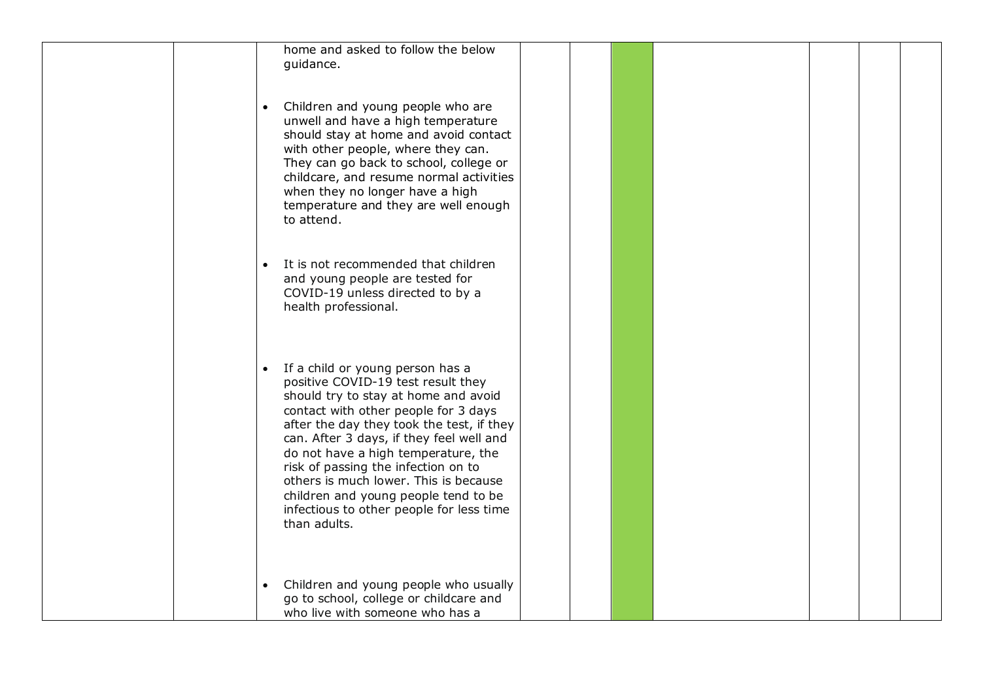| home and asked to follow the below<br>quidance.                                                                                                                                                                                                                                                                                                                                                                                                                                         |  |
|-----------------------------------------------------------------------------------------------------------------------------------------------------------------------------------------------------------------------------------------------------------------------------------------------------------------------------------------------------------------------------------------------------------------------------------------------------------------------------------------|--|
| Children and young people who are<br>$\bullet$<br>unwell and have a high temperature<br>should stay at home and avoid contact<br>with other people, where they can.<br>They can go back to school, college or<br>childcare, and resume normal activities<br>when they no longer have a high<br>temperature and they are well enough<br>to attend.                                                                                                                                       |  |
| It is not recommended that children<br>$\bullet$<br>and young people are tested for<br>COVID-19 unless directed to by a<br>health professional.                                                                                                                                                                                                                                                                                                                                         |  |
| If a child or young person has a<br>$\bullet$<br>positive COVID-19 test result they<br>should try to stay at home and avoid<br>contact with other people for 3 days<br>after the day they took the test, if they<br>can. After 3 days, if they feel well and<br>do not have a high temperature, the<br>risk of passing the infection on to<br>others is much lower. This is because<br>children and young people tend to be<br>infectious to other people for less time<br>than adults. |  |
| Children and young people who usually<br>$\bullet$<br>go to school, college or childcare and<br>who live with someone who has a                                                                                                                                                                                                                                                                                                                                                         |  |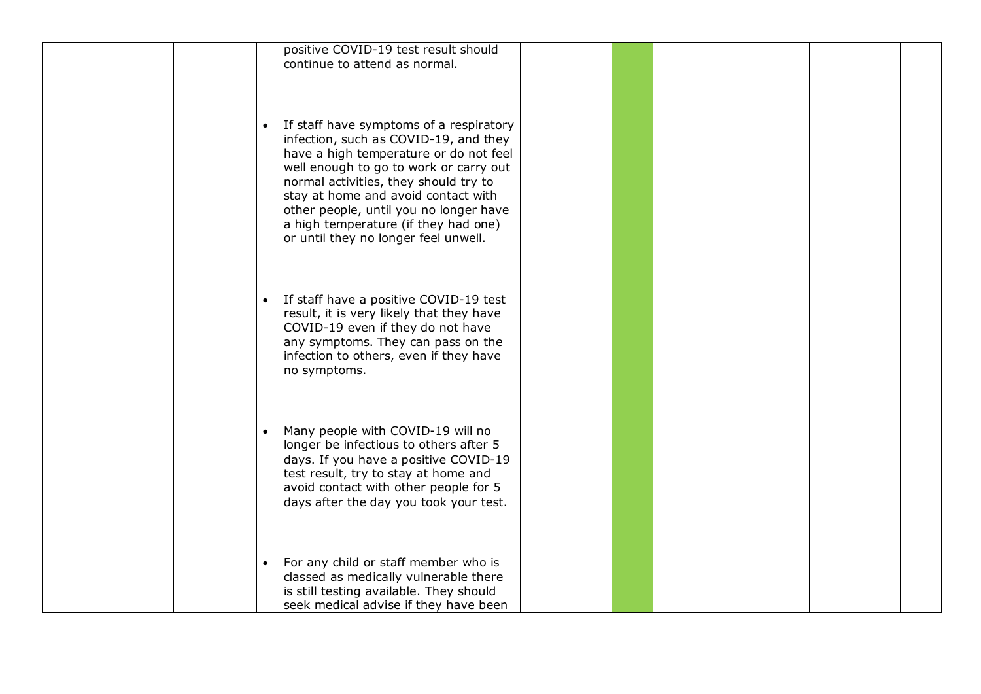| positive COVID-19 test result should<br>continue to attend as normal.                                                                                                                                                                                                                                                                                                                       |  |  |
|---------------------------------------------------------------------------------------------------------------------------------------------------------------------------------------------------------------------------------------------------------------------------------------------------------------------------------------------------------------------------------------------|--|--|
| If staff have symptoms of a respiratory<br>$\bullet$<br>infection, such as COVID-19, and they<br>have a high temperature or do not feel<br>well enough to go to work or carry out<br>normal activities, they should try to<br>stay at home and avoid contact with<br>other people, until you no longer have<br>a high temperature (if they had one)<br>or until they no longer feel unwell. |  |  |
| If staff have a positive COVID-19 test<br>result, it is very likely that they have<br>COVID-19 even if they do not have<br>any symptoms. They can pass on the<br>infection to others, even if they have<br>no symptoms.                                                                                                                                                                     |  |  |
| Many people with COVID-19 will no<br>$\bullet$<br>longer be infectious to others after 5<br>days. If you have a positive COVID-19<br>test result, try to stay at home and<br>avoid contact with other people for 5<br>days after the day you took your test.                                                                                                                                |  |  |
| For any child or staff member who is<br>$\bullet$<br>classed as medically vulnerable there<br>is still testing available. They should<br>seek medical advise if they have been                                                                                                                                                                                                              |  |  |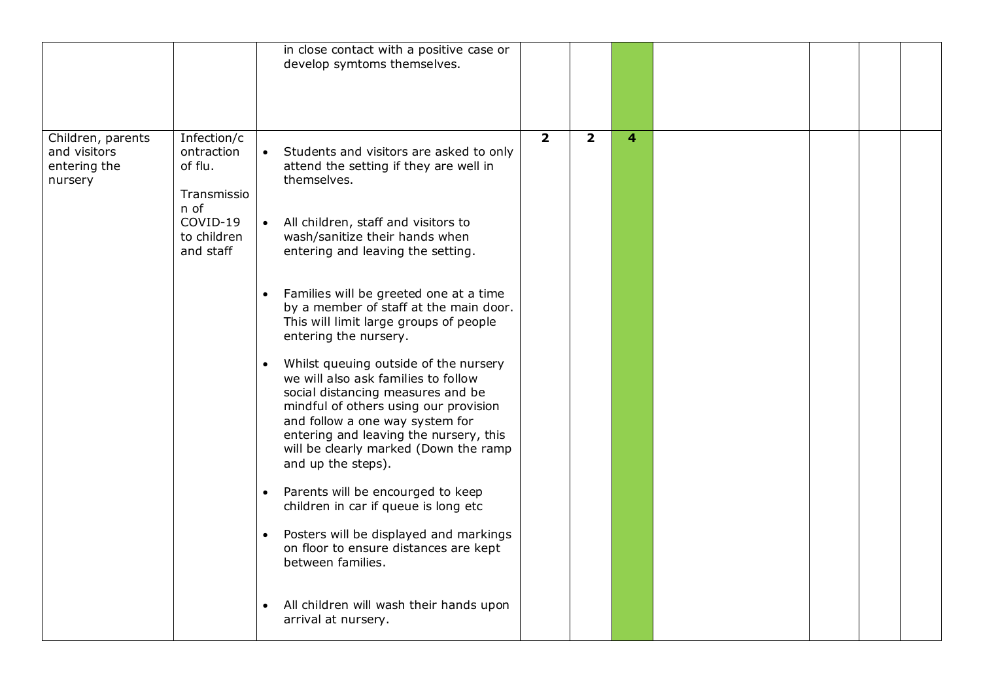|                                                              |                                                                                                     | in close contact with a positive case or<br>develop symtoms themselves.                                                                                                                                                                                                                                                                                                                                                                                                                                                                                                                                                                                                                                                                                                                                                                                                                                                                                                                      |                |                         |   |  |  |
|--------------------------------------------------------------|-----------------------------------------------------------------------------------------------------|----------------------------------------------------------------------------------------------------------------------------------------------------------------------------------------------------------------------------------------------------------------------------------------------------------------------------------------------------------------------------------------------------------------------------------------------------------------------------------------------------------------------------------------------------------------------------------------------------------------------------------------------------------------------------------------------------------------------------------------------------------------------------------------------------------------------------------------------------------------------------------------------------------------------------------------------------------------------------------------------|----------------|-------------------------|---|--|--|
| Children, parents<br>and visitors<br>entering the<br>nursery | Infection/c<br>ontraction<br>of flu.<br>Transmissio<br>n of<br>COVID-19<br>to children<br>and staff | Students and visitors are asked to only<br>attend the setting if they are well in<br>themselves.<br>• All children, staff and visitors to<br>wash/sanitize their hands when<br>entering and leaving the setting.<br>Families will be greeted one at a time<br>by a member of staff at the main door.<br>This will limit large groups of people<br>entering the nursery.<br>Whilst queuing outside of the nursery<br>$\bullet$<br>we will also ask families to follow<br>social distancing measures and be<br>mindful of others using our provision<br>and follow a one way system for<br>entering and leaving the nursery, this<br>will be clearly marked (Down the ramp<br>and up the steps).<br>Parents will be encourged to keep<br>$\bullet$<br>children in car if queue is long etc<br>Posters will be displayed and markings<br>$\bullet$<br>on floor to ensure distances are kept<br>between families.<br>All children will wash their hands upon<br>$\bullet$<br>arrival at nursery. | $\overline{2}$ | $\overline{\mathbf{2}}$ | 4 |  |  |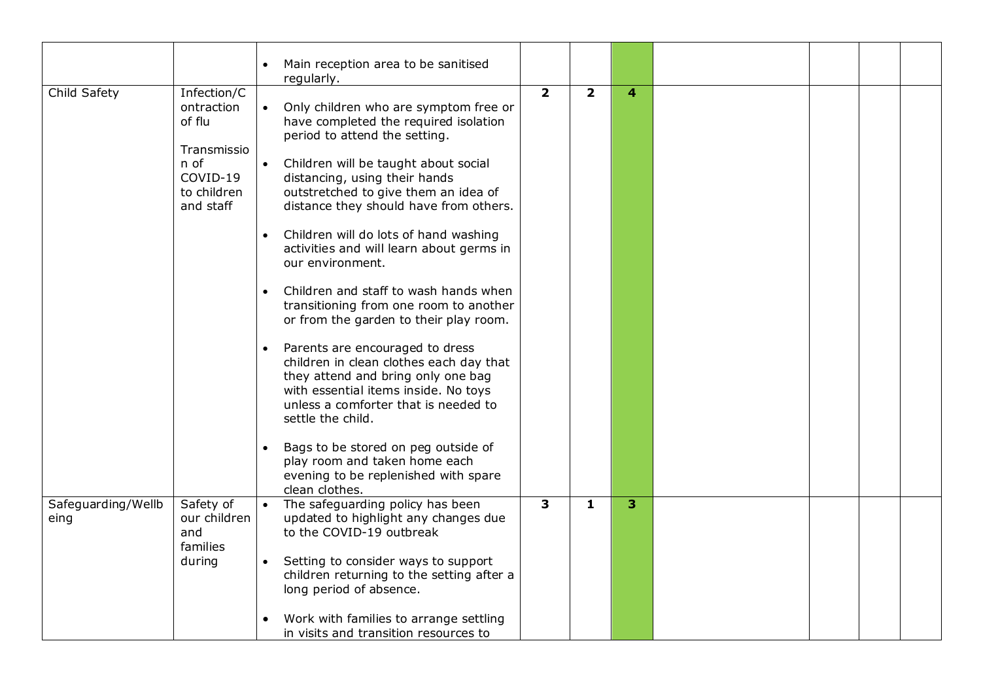|                            |                                                                                                    | Main reception area to be sanitised<br>regularly.                                                                                                                                                                                                                                                                                                                                                                                                                                                                                                                                                                                                                                                                                                                                                                                                                                                                                              |                |                |                |  |  |
|----------------------------|----------------------------------------------------------------------------------------------------|------------------------------------------------------------------------------------------------------------------------------------------------------------------------------------------------------------------------------------------------------------------------------------------------------------------------------------------------------------------------------------------------------------------------------------------------------------------------------------------------------------------------------------------------------------------------------------------------------------------------------------------------------------------------------------------------------------------------------------------------------------------------------------------------------------------------------------------------------------------------------------------------------------------------------------------------|----------------|----------------|----------------|--|--|
| Child Safety               | Infection/C<br>ontraction<br>of flu<br>Transmissio<br>n of<br>COVID-19<br>to children<br>and staff | • Only children who are symptom free or<br>have completed the required isolation<br>period to attend the setting.<br>$\bullet$<br>Children will be taught about social<br>distancing, using their hands<br>outstretched to give them an idea of<br>distance they should have from others.<br>Children will do lots of hand washing<br>$\bullet$<br>activities and will learn about germs in<br>our environment.<br>Children and staff to wash hands when<br>$\bullet$<br>transitioning from one room to another<br>or from the garden to their play room.<br>Parents are encouraged to dress<br>$\bullet$<br>children in clean clothes each day that<br>they attend and bring only one bag<br>with essential items inside. No toys<br>unless a comforter that is needed to<br>settle the child.<br>Bags to be stored on peg outside of<br>$\bullet$<br>play room and taken home each<br>evening to be replenished with spare<br>clean clothes. | $\overline{2}$ | $\overline{2}$ | $\overline{4}$ |  |  |
| Safeguarding/Wellb<br>eing | Safety of<br>our children<br>and<br>families<br>during                                             | The safeguarding policy has been<br>updated to highlight any changes due<br>to the COVID-19 outbreak<br>Setting to consider ways to support<br>$\bullet$<br>children returning to the setting after a<br>long period of absence.<br>$\bullet$                                                                                                                                                                                                                                                                                                                                                                                                                                                                                                                                                                                                                                                                                                  | 3              | $\mathbf{1}$   | $\overline{3}$ |  |  |
|                            |                                                                                                    | Work with families to arrange settling<br>in visits and transition resources to                                                                                                                                                                                                                                                                                                                                                                                                                                                                                                                                                                                                                                                                                                                                                                                                                                                                |                |                |                |  |  |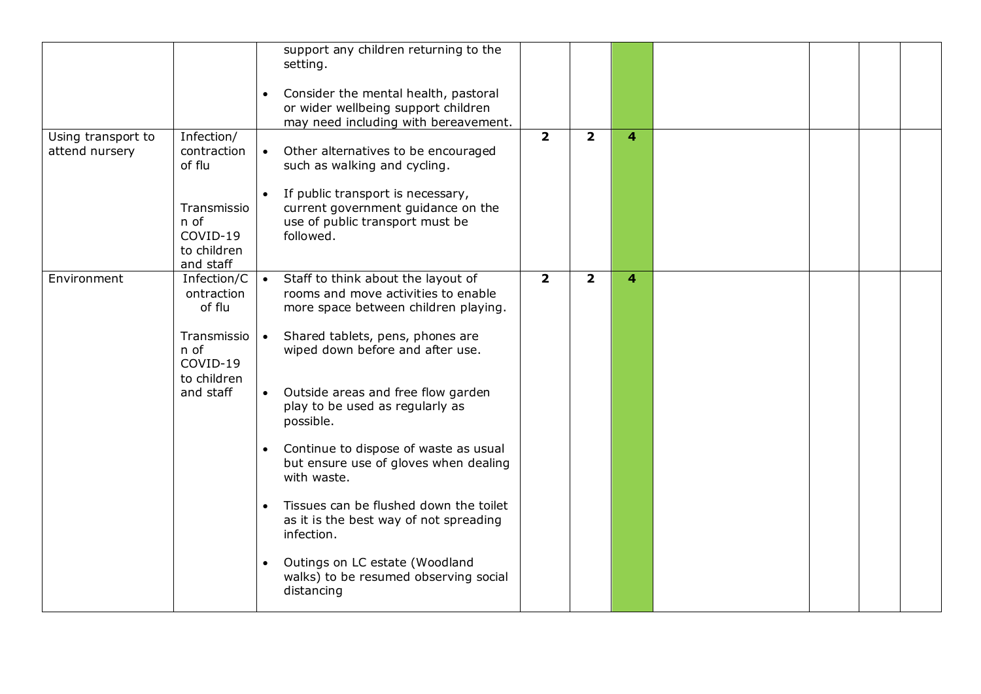|                                      |                                                                                                        | support any children returning to the<br>setting.<br>Consider the mental health, pastoral<br>$\bullet$<br>or wider wellbeing support children<br>may need including with bereavement.                                                                                                                                                                                                                                                                                                                                                                                                                                |                |                |                |  |  |
|--------------------------------------|--------------------------------------------------------------------------------------------------------|----------------------------------------------------------------------------------------------------------------------------------------------------------------------------------------------------------------------------------------------------------------------------------------------------------------------------------------------------------------------------------------------------------------------------------------------------------------------------------------------------------------------------------------------------------------------------------------------------------------------|----------------|----------------|----------------|--|--|
| Using transport to<br>attend nursery | Infection/<br>contraction<br>of flu<br>Transmissio<br>n of<br>COVID-19<br>to children<br>and staff     | • Other alternatives to be encouraged<br>such as walking and cycling.<br>If public transport is necessary,<br>$\bullet$<br>current government guidance on the<br>use of public transport must be<br>followed.                                                                                                                                                                                                                                                                                                                                                                                                        | $\overline{2}$ | $\overline{2}$ | 4              |  |  |
| Environment                          | Infection/C<br>ontraction<br>of flu<br>Transmissio   •<br>n of<br>COVID-19<br>to children<br>and staff | Staff to think about the layout of<br>rooms and move activities to enable<br>more space between children playing.<br>Shared tablets, pens, phones are<br>wiped down before and after use.<br>• Outside areas and free flow garden<br>play to be used as regularly as<br>possible.<br>Continue to dispose of waste as usual<br>$\bullet$<br>but ensure use of gloves when dealing<br>with waste.<br>Tissues can be flushed down the toilet<br>$\bullet$<br>as it is the best way of not spreading<br>infection.<br>Outings on LC estate (Woodland<br>$\bullet$<br>walks) to be resumed observing social<br>distancing | $\overline{2}$ | $\overline{2}$ | $\overline{4}$ |  |  |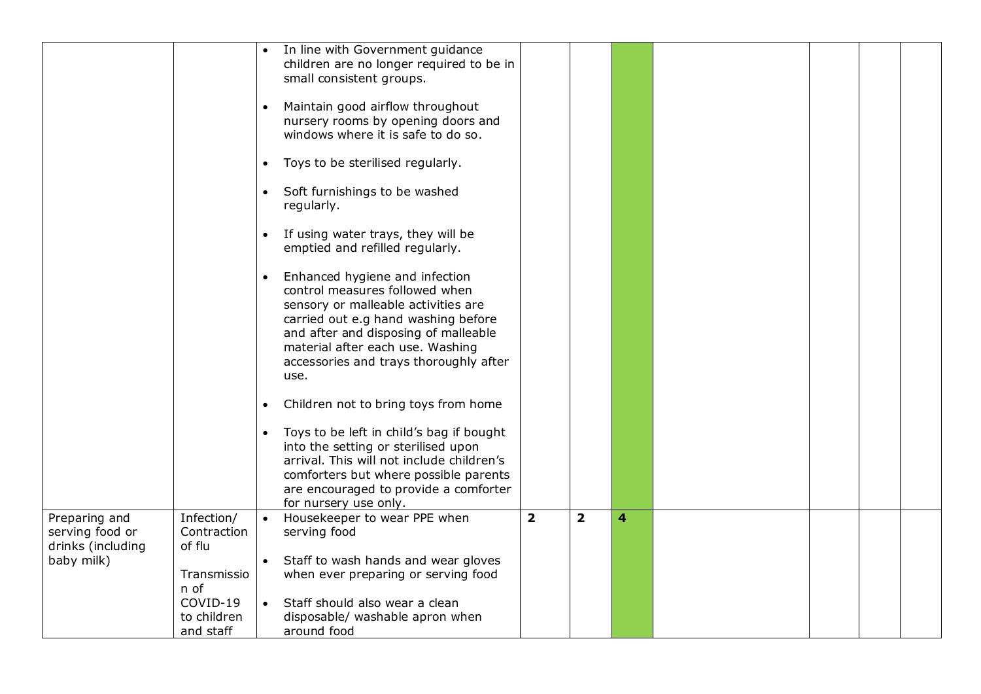|                                                       |                                      | $\bullet$              | In line with Government guidance<br>children are no longer required to be in<br>small consistent groups.<br>Maintain good airflow throughout<br>nursery rooms by opening doors and<br>windows where it is safe to do so.<br>Toys to be sterilised regularly.                    |                |                |                |  |  |
|-------------------------------------------------------|--------------------------------------|------------------------|---------------------------------------------------------------------------------------------------------------------------------------------------------------------------------------------------------------------------------------------------------------------------------|----------------|----------------|----------------|--|--|
|                                                       |                                      | $\bullet$<br>$\bullet$ | Soft furnishings to be washed<br>regularly.                                                                                                                                                                                                                                     |                |                |                |  |  |
|                                                       |                                      | $\bullet$              | If using water trays, they will be<br>emptied and refilled regularly.                                                                                                                                                                                                           |                |                |                |  |  |
|                                                       |                                      | $\bullet$              | Enhanced hygiene and infection<br>control measures followed when<br>sensory or malleable activities are<br>carried out e.g hand washing before<br>and after and disposing of malleable<br>material after each use. Washing<br>accessories and trays thoroughly after<br>use.    |                |                |                |  |  |
|                                                       |                                      | $\bullet$              | Children not to bring toys from home<br>Toys to be left in child's bag if bought<br>into the setting or sterilised upon<br>arrival. This will not include children's<br>comforters but where possible parents<br>are encouraged to provide a comforter<br>for nursery use only. |                |                |                |  |  |
| Preparing and<br>serving food or<br>drinks (including | Infection/<br>Contraction<br>of flu  | $\bullet$              | Housekeeper to wear PPE when<br>serving food                                                                                                                                                                                                                                    | $\overline{2}$ | $\overline{2}$ | $\overline{4}$ |  |  |
| baby milk)                                            | Transmissio<br>n of                  | $\bullet$              | Staff to wash hands and wear gloves<br>when ever preparing or serving food                                                                                                                                                                                                      |                |                |                |  |  |
|                                                       | COVID-19<br>to children<br>and staff | $\bullet$              | Staff should also wear a clean<br>disposable/ washable apron when<br>around food                                                                                                                                                                                                |                |                |                |  |  |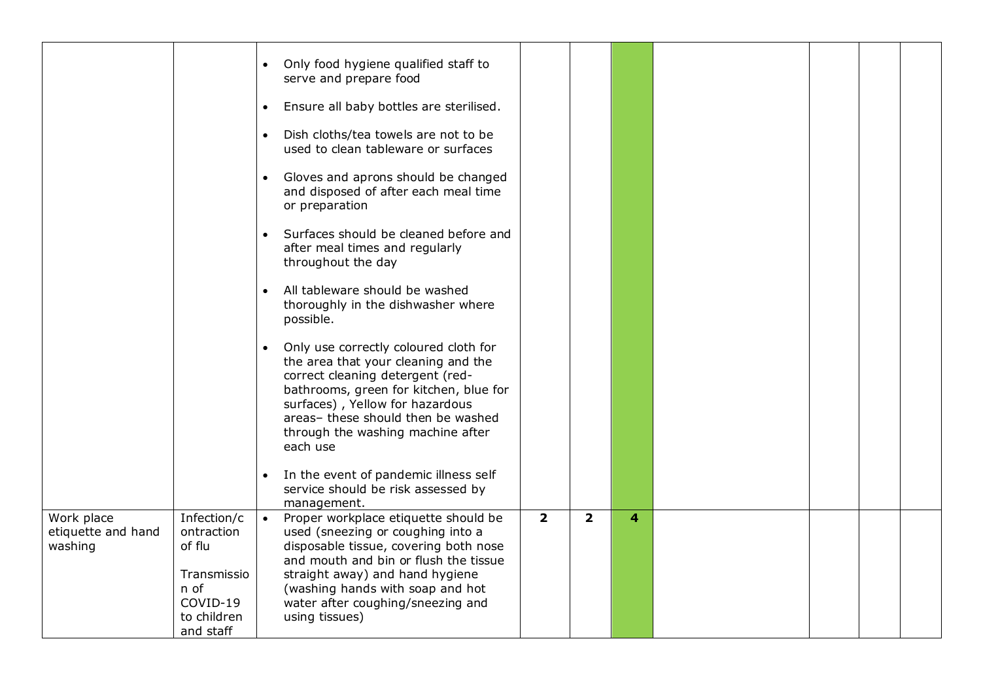|                                             |                                                    | Only food hygiene qualified staff to<br>$\bullet$<br>serve and prepare food                                                                                                                                                                                                                       |                |                |   |  |  |
|---------------------------------------------|----------------------------------------------------|---------------------------------------------------------------------------------------------------------------------------------------------------------------------------------------------------------------------------------------------------------------------------------------------------|----------------|----------------|---|--|--|
|                                             |                                                    | Ensure all baby bottles are sterilised.<br>$\bullet$                                                                                                                                                                                                                                              |                |                |   |  |  |
|                                             |                                                    | Dish cloths/tea towels are not to be<br>$\bullet$<br>used to clean tableware or surfaces                                                                                                                                                                                                          |                |                |   |  |  |
|                                             |                                                    | Gloves and aprons should be changed<br>$\bullet$<br>and disposed of after each meal time<br>or preparation                                                                                                                                                                                        |                |                |   |  |  |
|                                             |                                                    | Surfaces should be cleaned before and<br>$\bullet$<br>after meal times and regularly<br>throughout the day                                                                                                                                                                                        |                |                |   |  |  |
|                                             |                                                    | All tableware should be washed<br>$\bullet$<br>thoroughly in the dishwasher where<br>possible.                                                                                                                                                                                                    |                |                |   |  |  |
|                                             |                                                    | Only use correctly coloured cloth for<br>$\bullet$<br>the area that your cleaning and the<br>correct cleaning detergent (red-<br>bathrooms, green for kitchen, blue for<br>surfaces), Yellow for hazardous<br>areas- these should then be washed<br>through the washing machine after<br>each use |                |                |   |  |  |
|                                             |                                                    | In the event of pandemic illness self<br>$\bullet$<br>service should be risk assessed by<br>management.                                                                                                                                                                                           |                |                |   |  |  |
| Work place<br>etiquette and hand<br>washing | Infection/c<br>ontraction<br>of flu<br>Transmissio | Proper workplace etiquette should be<br>used (sneezing or coughing into a<br>disposable tissue, covering both nose<br>and mouth and bin or flush the tissue<br>straight away) and hand hygiene                                                                                                    | $\overline{2}$ | $\overline{2}$ | 4 |  |  |
|                                             | n of<br>COVID-19<br>to children<br>and staff       | (washing hands with soap and hot<br>water after coughing/sneezing and<br>using tissues)                                                                                                                                                                                                           |                |                |   |  |  |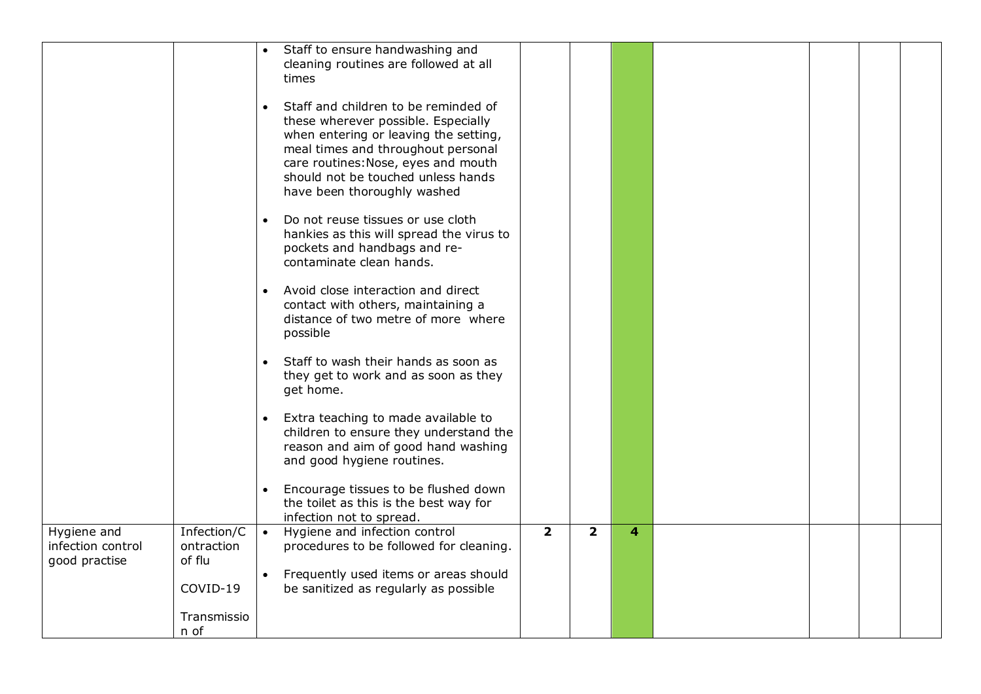|                                  |                           | Staff to ensure handwashing and<br>$\bullet$<br>cleaning routines are followed at all       |                         |                         |   |  |  |
|----------------------------------|---------------------------|---------------------------------------------------------------------------------------------|-------------------------|-------------------------|---|--|--|
|                                  |                           | times                                                                                       |                         |                         |   |  |  |
|                                  |                           | Staff and children to be reminded of<br>$\bullet$<br>these wherever possible. Especially    |                         |                         |   |  |  |
|                                  |                           | when entering or leaving the setting,<br>meal times and throughout personal                 |                         |                         |   |  |  |
|                                  |                           | care routines: Nose, eyes and mouth                                                         |                         |                         |   |  |  |
|                                  |                           | should not be touched unless hands<br>have been thoroughly washed                           |                         |                         |   |  |  |
|                                  |                           | Do not reuse tissues or use cloth<br>$\bullet$<br>hankies as this will spread the virus to  |                         |                         |   |  |  |
|                                  |                           | pockets and handbags and re-                                                                |                         |                         |   |  |  |
|                                  |                           | contaminate clean hands.                                                                    |                         |                         |   |  |  |
|                                  |                           | Avoid close interaction and direct<br>$\bullet$<br>contact with others, maintaining a       |                         |                         |   |  |  |
|                                  |                           | distance of two metre of more where<br>possible                                             |                         |                         |   |  |  |
|                                  |                           | Staff to wash their hands as soon as<br>$\bullet$                                           |                         |                         |   |  |  |
|                                  |                           | they get to work and as soon as they<br>get home.                                           |                         |                         |   |  |  |
|                                  |                           | Extra teaching to made available to<br>$\bullet$<br>children to ensure they understand the  |                         |                         |   |  |  |
|                                  |                           | reason and aim of good hand washing                                                         |                         |                         |   |  |  |
|                                  |                           | and good hygiene routines.                                                                  |                         |                         |   |  |  |
|                                  |                           | Encourage tissues to be flushed down<br>$\bullet$<br>the toilet as this is the best way for |                         |                         |   |  |  |
|                                  |                           | infection not to spread.                                                                    |                         |                         |   |  |  |
| Hygiene and<br>infection control | Infection/C<br>ontraction | Hygiene and infection control<br>$\bullet$<br>procedures to be followed for cleaning.       | $\overline{\mathbf{2}}$ | $\overline{\mathbf{2}}$ | 4 |  |  |
| good practise                    | of flu                    | Frequently used items or areas should<br>$\bullet$                                          |                         |                         |   |  |  |
|                                  | COVID-19                  | be sanitized as regularly as possible                                                       |                         |                         |   |  |  |
|                                  | Transmissio               |                                                                                             |                         |                         |   |  |  |
|                                  | n of                      |                                                                                             |                         |                         |   |  |  |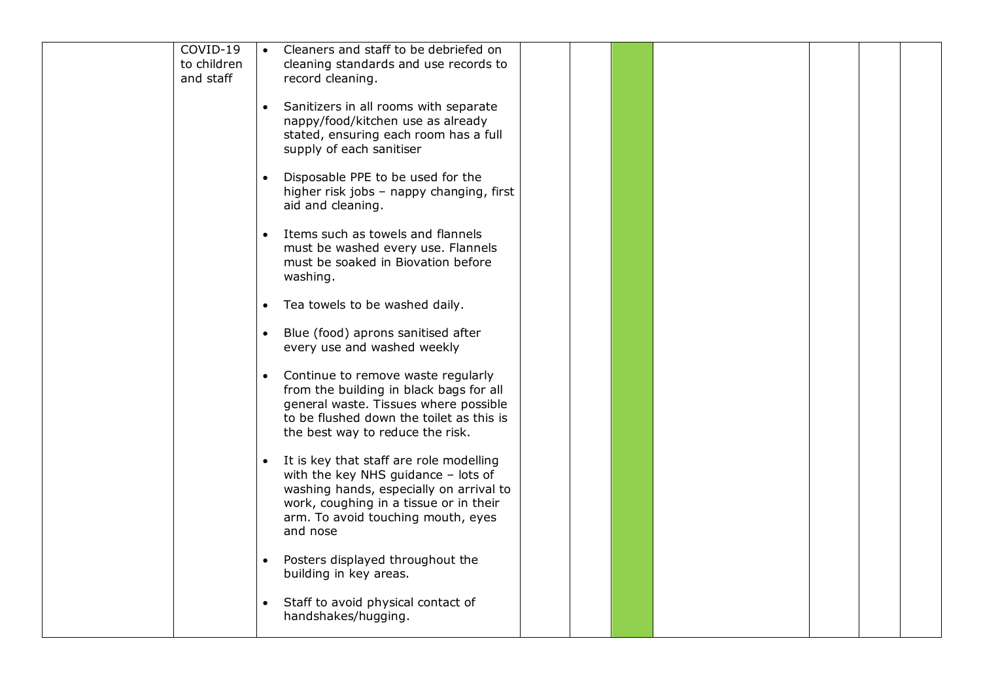| COVID-19                 |           | Cleaners and staff to be debriefed on                                              |  |  |  |  |
|--------------------------|-----------|------------------------------------------------------------------------------------|--|--|--|--|
| to children<br>and staff |           | cleaning standards and use records to<br>record cleaning.                          |  |  |  |  |
|                          |           |                                                                                    |  |  |  |  |
|                          |           | • Sanitizers in all rooms with separate                                            |  |  |  |  |
|                          |           | nappy/food/kitchen use as already<br>stated, ensuring each room has a full         |  |  |  |  |
|                          |           | supply of each sanitiser                                                           |  |  |  |  |
|                          |           |                                                                                    |  |  |  |  |
|                          | $\bullet$ | Disposable PPE to be used for the<br>higher risk jobs - nappy changing, first      |  |  |  |  |
|                          |           | aid and cleaning.                                                                  |  |  |  |  |
|                          |           |                                                                                    |  |  |  |  |
|                          | $\bullet$ | Items such as towels and flannels<br>must be washed every use. Flannels            |  |  |  |  |
|                          |           | must be soaked in Biovation before                                                 |  |  |  |  |
|                          |           | washing.                                                                           |  |  |  |  |
|                          |           | Tea towels to be washed daily.                                                     |  |  |  |  |
|                          | $\bullet$ |                                                                                    |  |  |  |  |
|                          |           | • Blue (food) aprons sanitised after                                               |  |  |  |  |
|                          |           | every use and washed weekly                                                        |  |  |  |  |
|                          | $\bullet$ | Continue to remove waste regularly                                                 |  |  |  |  |
|                          |           | from the building in black bags for all                                            |  |  |  |  |
|                          |           | general waste. Tissues where possible<br>to be flushed down the toilet as this is  |  |  |  |  |
|                          |           | the best way to reduce the risk.                                                   |  |  |  |  |
|                          |           |                                                                                    |  |  |  |  |
|                          |           | • It is key that staff are role modelling<br>with the key NHS guidance $-$ lots of |  |  |  |  |
|                          |           | washing hands, especially on arrival to                                            |  |  |  |  |
|                          |           | work, coughing in a tissue or in their                                             |  |  |  |  |
|                          |           | arm. To avoid touching mouth, eyes<br>and nose                                     |  |  |  |  |
|                          |           |                                                                                    |  |  |  |  |
|                          | $\bullet$ | Posters displayed throughout the                                                   |  |  |  |  |
|                          |           | building in key areas.                                                             |  |  |  |  |
|                          | $\bullet$ | Staff to avoid physical contact of                                                 |  |  |  |  |
|                          |           | handshakes/hugging.                                                                |  |  |  |  |
|                          |           |                                                                                    |  |  |  |  |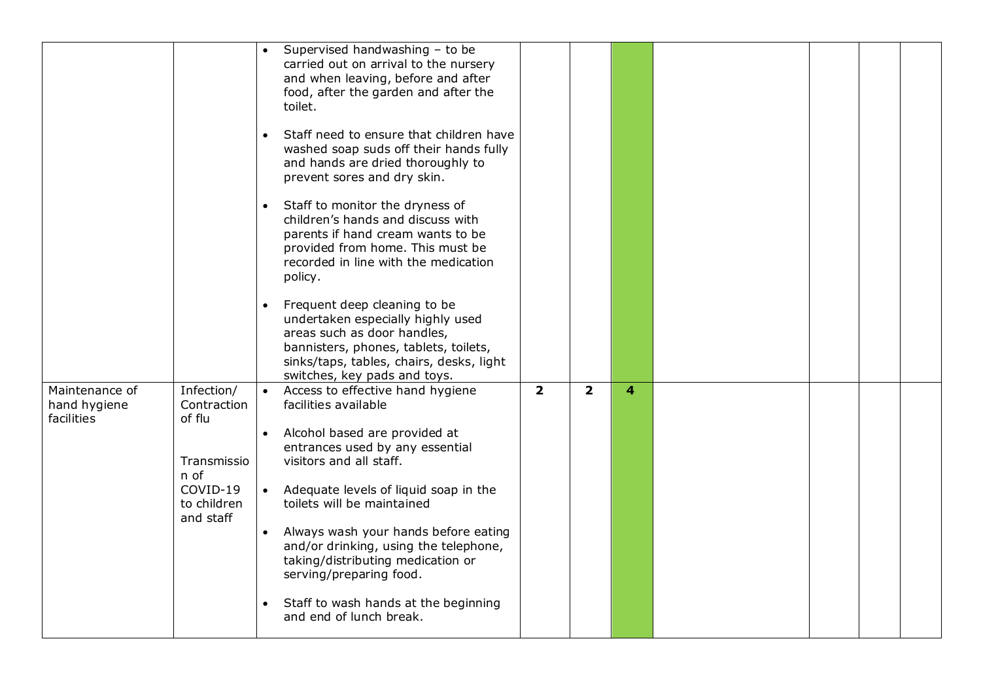|                                              |                                     | Supervised handwashing - to be<br>carried out on arrival to the nursery                               |                |                |   |  |  |
|----------------------------------------------|-------------------------------------|-------------------------------------------------------------------------------------------------------|----------------|----------------|---|--|--|
|                                              |                                     | and when leaving, before and after<br>food, after the garden and after the                            |                |                |   |  |  |
|                                              |                                     | toilet.                                                                                               |                |                |   |  |  |
|                                              |                                     | Staff need to ensure that children have                                                               |                |                |   |  |  |
|                                              |                                     | washed soap suds off their hands fully<br>and hands are dried thoroughly to                           |                |                |   |  |  |
|                                              |                                     | prevent sores and dry skin.                                                                           |                |                |   |  |  |
|                                              |                                     | Staff to monitor the dryness of                                                                       |                |                |   |  |  |
|                                              |                                     | children's hands and discuss with<br>parents if hand cream wants to be                                |                |                |   |  |  |
|                                              |                                     | provided from home. This must be                                                                      |                |                |   |  |  |
|                                              |                                     | recorded in line with the medication<br>policy.                                                       |                |                |   |  |  |
|                                              |                                     | Frequent deep cleaning to be                                                                          |                |                |   |  |  |
|                                              |                                     | undertaken especially highly used<br>areas such as door handles,                                      |                |                |   |  |  |
|                                              |                                     | bannisters, phones, tablets, toilets,                                                                 |                |                |   |  |  |
|                                              |                                     | sinks/taps, tables, chairs, desks, light<br>switches, key pads and toys.                              |                |                |   |  |  |
| Maintenance of<br>hand hygiene<br>facilities | Infection/<br>Contraction<br>of flu | Access to effective hand hygiene<br>facilities available                                              | $\overline{2}$ | $\overline{2}$ | 4 |  |  |
|                                              |                                     | Alcohol based are provided at                                                                         |                |                |   |  |  |
|                                              | Transmissio                         | entrances used by any essential<br>visitors and all staff.                                            |                |                |   |  |  |
|                                              | n of<br>COVID-19                    | • Adequate levels of liquid soap in the                                                               |                |                |   |  |  |
|                                              | to children<br>and staff            | toilets will be maintained                                                                            |                |                |   |  |  |
|                                              |                                     | Always wash your hands before eating<br>$\bullet$                                                     |                |                |   |  |  |
|                                              |                                     | and/or drinking, using the telephone,<br>taking/distributing medication or<br>serving/preparing food. |                |                |   |  |  |
|                                              |                                     | Staff to wash hands at the beginning                                                                  |                |                |   |  |  |
|                                              |                                     | and end of lunch break.                                                                               |                |                |   |  |  |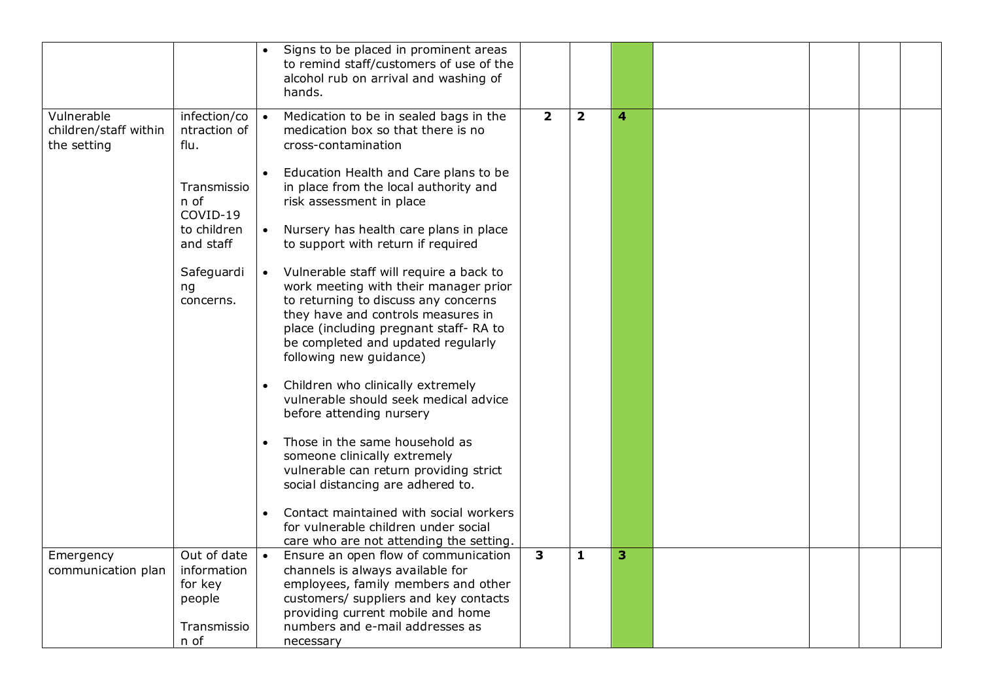|                                                    |                                                                | Signs to be placed in prominent areas<br>to remind staff/customers of use of the<br>alcohol rub on arrival and washing of<br>hands.                                                                                                                                                                                                     |                         |                |   |  |  |
|----------------------------------------------------|----------------------------------------------------------------|-----------------------------------------------------------------------------------------------------------------------------------------------------------------------------------------------------------------------------------------------------------------------------------------------------------------------------------------|-------------------------|----------------|---|--|--|
| Vulnerable<br>children/staff within<br>the setting | infection/co<br>ntraction of<br>flu.                           | Medication to be in sealed bags in the<br>$\overline{\phantom{a}}$<br>medication box so that there is no<br>cross-contamination                                                                                                                                                                                                         | $\overline{2}$          | $\overline{2}$ | 4 |  |  |
|                                                    | Transmissio<br>n of<br>COVID-19                                | Education Health and Care plans to be<br>$\bullet$<br>in place from the local authority and<br>risk assessment in place                                                                                                                                                                                                                 |                         |                |   |  |  |
|                                                    | to children<br>and staff                                       | Nursery has health care plans in place<br>$\bullet$<br>to support with return if required                                                                                                                                                                                                                                               |                         |                |   |  |  |
|                                                    | Safeguardi<br>ng<br>concerns.                                  | Vulnerable staff will require a back to<br>$\bullet$<br>work meeting with their manager prior<br>to returning to discuss any concerns<br>they have and controls measures in<br>place (including pregnant staff-RA to<br>be completed and updated regularly<br>following new guidance)<br>Children who clinically extremely<br>$\bullet$ |                         |                |   |  |  |
|                                                    |                                                                | vulnerable should seek medical advice<br>before attending nursery                                                                                                                                                                                                                                                                       |                         |                |   |  |  |
|                                                    |                                                                | Those in the same household as<br>$\bullet$<br>someone clinically extremely<br>vulnerable can return providing strict<br>social distancing are adhered to.                                                                                                                                                                              |                         |                |   |  |  |
|                                                    |                                                                | Contact maintained with social workers<br>$\bullet$<br>for vulnerable children under social<br>care who are not attending the setting.                                                                                                                                                                                                  |                         |                |   |  |  |
| Emergency<br>communication plan                    | Out of date<br>information<br>for key<br>people<br>Transmissio | $\bullet$<br>Ensure an open flow of communication<br>channels is always available for<br>employees, family members and other<br>customers/ suppliers and key contacts<br>providing current mobile and home<br>numbers and e-mail addresses as                                                                                           | $\overline{\mathbf{3}}$ | $\mathbf{1}$   | 3 |  |  |
|                                                    | n of                                                           | necessary                                                                                                                                                                                                                                                                                                                               |                         |                |   |  |  |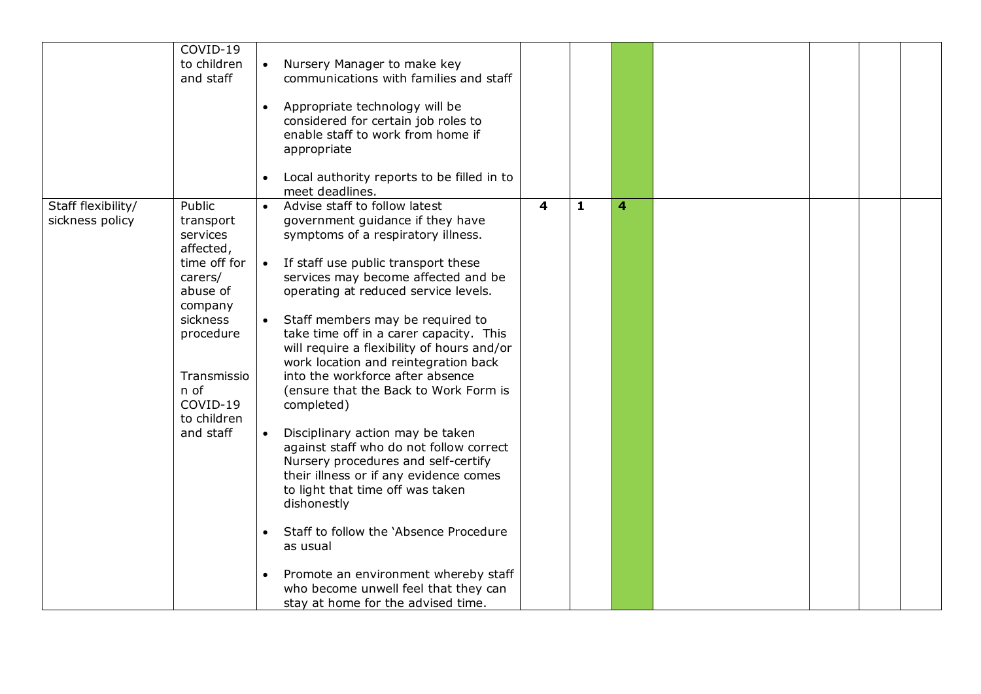|                    | COVID-19<br>to children<br>and staff                                                                                                                                         | Nursery Manager to make key<br>communications with families and staff<br>Appropriate technology will be<br>$\bullet$<br>considered for certain job roles to<br>enable staff to work from home if<br>appropriate<br>Local authority reports to be filled in to<br>$\bullet$<br>meet deadlines.                                                                                                                                                                                                                                                                                                                                                                                                                                                                                                 |                         |              |   |  |  |
|--------------------|------------------------------------------------------------------------------------------------------------------------------------------------------------------------------|-----------------------------------------------------------------------------------------------------------------------------------------------------------------------------------------------------------------------------------------------------------------------------------------------------------------------------------------------------------------------------------------------------------------------------------------------------------------------------------------------------------------------------------------------------------------------------------------------------------------------------------------------------------------------------------------------------------------------------------------------------------------------------------------------|-------------------------|--------------|---|--|--|
| Staff flexibility/ | Public                                                                                                                                                                       | Advise staff to follow latest<br>$\bullet$                                                                                                                                                                                                                                                                                                                                                                                                                                                                                                                                                                                                                                                                                                                                                    | $\overline{\mathbf{4}}$ | $\mathbf{1}$ | 4 |  |  |
| sickness policy    | transport<br>services<br>affected,<br>time off for<br>carers/<br>abuse of<br>company<br>sickness<br>procedure<br>Transmissio<br>n of<br>COVID-19<br>to children<br>and staff | government guidance if they have<br>symptoms of a respiratory illness.<br>$\overline{\phantom{a}}$<br>If staff use public transport these<br>services may become affected and be<br>operating at reduced service levels.<br>• Staff members may be required to<br>take time off in a carer capacity. This<br>will require a flexibility of hours and/or<br>work location and reintegration back<br>into the workforce after absence<br>(ensure that the Back to Work Form is<br>completed)<br>$\bullet$<br>Disciplinary action may be taken<br>against staff who do not follow correct<br>Nursery procedures and self-certify<br>their illness or if any evidence comes<br>to light that time off was taken<br>dishonestly<br>Staff to follow the 'Absence Procedure<br>$\bullet$<br>as usual |                         |              |   |  |  |
|                    |                                                                                                                                                                              | Promote an environment whereby staff<br>$\bullet$<br>who become unwell feel that they can<br>stay at home for the advised time.                                                                                                                                                                                                                                                                                                                                                                                                                                                                                                                                                                                                                                                               |                         |              |   |  |  |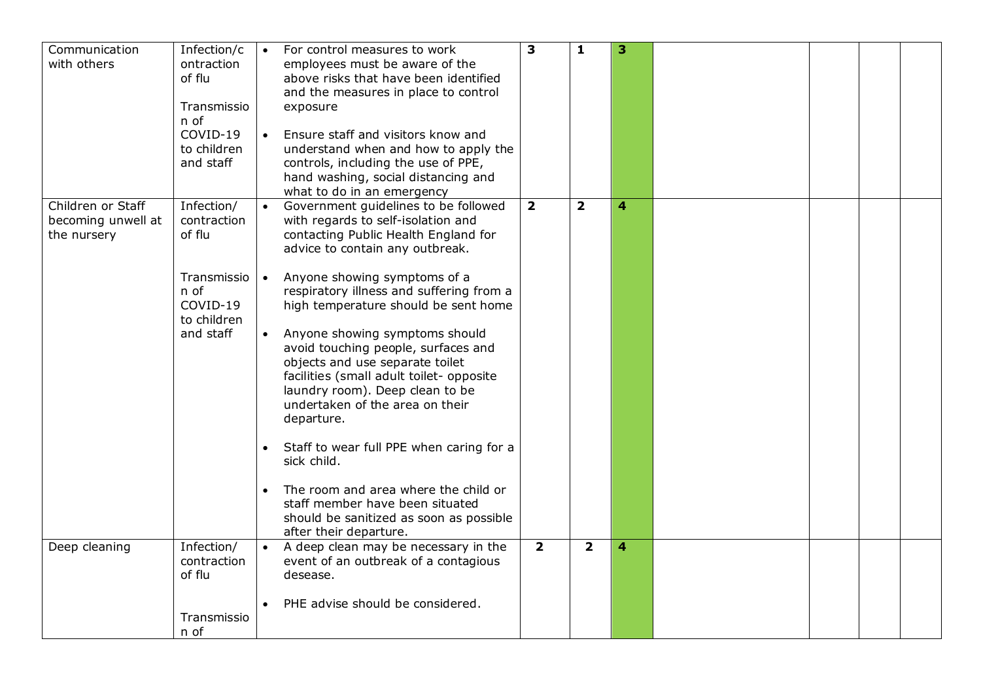| 3<br>$\mathbf{1}$<br>3<br>Communication<br>Infection/c<br>For control measures to work                                                          |  |  |
|-------------------------------------------------------------------------------------------------------------------------------------------------|--|--|
| with others<br>ontraction<br>employees must be aware of the                                                                                     |  |  |
| of flu<br>above risks that have been identified                                                                                                 |  |  |
| and the measures in place to control                                                                                                            |  |  |
| Transmissio<br>exposure                                                                                                                         |  |  |
| n of                                                                                                                                            |  |  |
| COVID-19<br>Ensure staff and visitors know and<br>$\bullet$                                                                                     |  |  |
| to children<br>understand when and how to apply the                                                                                             |  |  |
| and staff<br>controls, including the use of PPE,                                                                                                |  |  |
| hand washing, social distancing and                                                                                                             |  |  |
| what to do in an emergency                                                                                                                      |  |  |
| Children or Staff<br>$\overline{\mathbf{2}}$<br>$\overline{\mathbf{2}}$<br>Infection/<br>Government guidelines to be followed<br>4<br>$\bullet$ |  |  |
| becoming unwell at<br>contraction<br>with regards to self-isolation and                                                                         |  |  |
| of flu<br>contacting Public Health England for<br>the nursery                                                                                   |  |  |
| advice to contain any outbreak.                                                                                                                 |  |  |
|                                                                                                                                                 |  |  |
| Transmissio<br>Anyone showing symptoms of a<br>$\bullet$                                                                                        |  |  |
| n of<br>respiratory illness and suffering from a                                                                                                |  |  |
| COVID-19<br>high temperature should be sent home                                                                                                |  |  |
| to children                                                                                                                                     |  |  |
| Anyone showing symptoms should<br>and staff<br>$\bullet$                                                                                        |  |  |
| avoid touching people, surfaces and                                                                                                             |  |  |
| objects and use separate toilet                                                                                                                 |  |  |
| facilities (small adult toilet- opposite                                                                                                        |  |  |
| laundry room). Deep clean to be                                                                                                                 |  |  |
| undertaken of the area on their                                                                                                                 |  |  |
| departure.                                                                                                                                      |  |  |
|                                                                                                                                                 |  |  |
| Staff to wear full PPE when caring for a                                                                                                        |  |  |
| sick child.                                                                                                                                     |  |  |
|                                                                                                                                                 |  |  |
| The room and area where the child or<br>$\bullet$                                                                                               |  |  |
| staff member have been situated                                                                                                                 |  |  |
| should be sanitized as soon as possible                                                                                                         |  |  |
| after their departure.                                                                                                                          |  |  |
| Infection/<br>A deep clean may be necessary in the<br>$\overline{2}$<br>$\overline{2}$<br>Deep cleaning<br>$\bullet$<br>4                       |  |  |
| contraction<br>event of an outbreak of a contagious                                                                                             |  |  |
| of flu<br>desease.                                                                                                                              |  |  |
|                                                                                                                                                 |  |  |
| PHE advise should be considered.                                                                                                                |  |  |
| Transmissio                                                                                                                                     |  |  |
| n of                                                                                                                                            |  |  |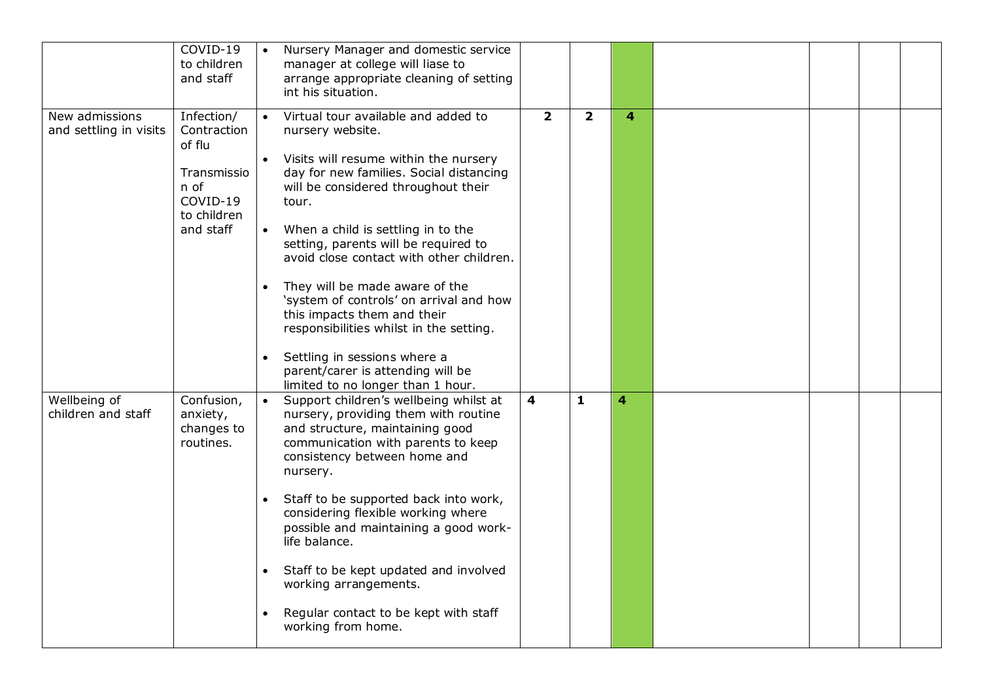|                                          | COVID-19<br>to children<br>and staff                                                               | Nursery Manager and domestic service<br>manager at college will liase to<br>arrange appropriate cleaning of setting<br>int his situation.                                                                                                                                                                                                                                                                                                                                                                                                                                                                                       |                |                         |   |  |  |
|------------------------------------------|----------------------------------------------------------------------------------------------------|---------------------------------------------------------------------------------------------------------------------------------------------------------------------------------------------------------------------------------------------------------------------------------------------------------------------------------------------------------------------------------------------------------------------------------------------------------------------------------------------------------------------------------------------------------------------------------------------------------------------------------|----------------|-------------------------|---|--|--|
| New admissions<br>and settling in visits | Infection/<br>Contraction<br>of flu<br>Transmissio<br>n of<br>COVID-19<br>to children<br>and staff | Virtual tour available and added to<br>$\bullet$<br>nursery website.<br>Visits will resume within the nursery<br>day for new families. Social distancing<br>will be considered throughout their<br>tour.<br>• When a child is settling in to the<br>setting, parents will be required to<br>avoid close contact with other children.<br>They will be made aware of the<br>$\bullet$<br>'system of controls' on arrival and how<br>this impacts them and their<br>responsibilities whilst in the setting.<br>Settling in sessions where a<br>$\bullet$<br>parent/carer is attending will be<br>limited to no longer than 1 hour. | $\overline{2}$ | $\overline{\mathbf{2}}$ | 4 |  |  |
| Wellbeing of<br>children and staff       | Confusion,<br>anxiety,<br>changes to<br>routines.                                                  | $\bullet$<br>Support children's wellbeing whilst at<br>nursery, providing them with routine<br>and structure, maintaining good<br>communication with parents to keep<br>consistency between home and<br>nursery.<br>Staff to be supported back into work,<br>$\bullet$<br>considering flexible working where<br>possible and maintaining a good work-<br>life balance.<br>Staff to be kept updated and involved<br>$\bullet$<br>working arrangements.<br>Regular contact to be kept with staff<br>$\bullet$<br>working from home.                                                                                               | 4              | $\mathbf{1}$            | 4 |  |  |